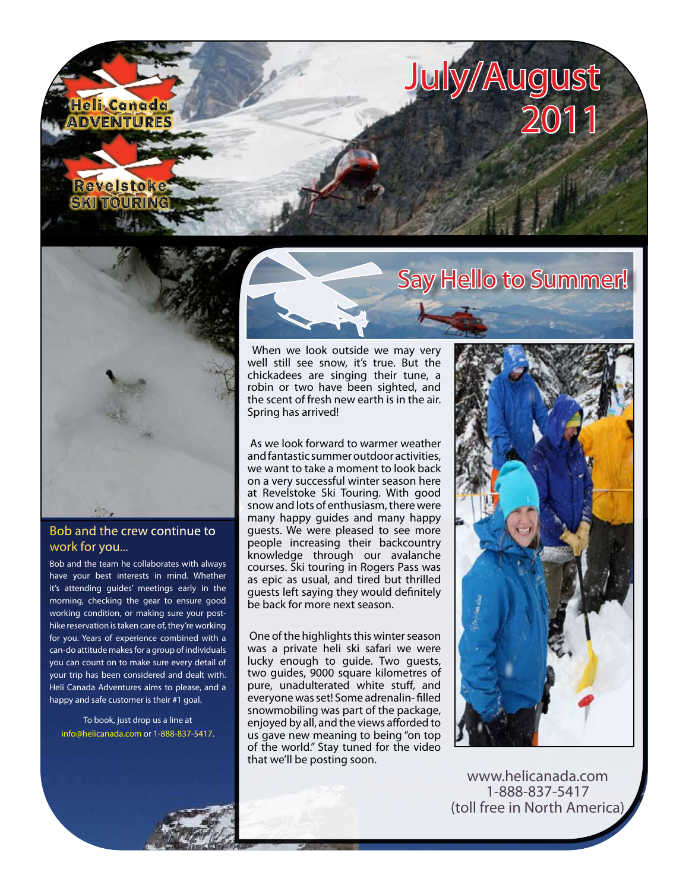



#### Bob and the crew continue to work for you...

Bob and the team he collaborates with always have your best interests in mind. Whether it's attending guides' meetings early in the morning, checking the gear to ensure good working condition, or making sure your posthike reservation is taken care of, they're working for you. Years of experience combined with a can-do attitude makes for a group of individuals you can count on to make sure every detail of your trip has been considered and dealt with. Heli Canada Adventures aims to please, and a happy and safe customer is their #1 goal.

To book, just drop us a line at [info@helicanada.com](mailto:info@helicanada.com) or 1-888-837-5417.



 When we look outside we may very well still see snow, it's true. But the chickadees are singing their tune, a robin or two have been sighted, and the scent of fresh new earth is in the air. Spring has arrived!

 As we look forward to warmer weather and fantastic summer outdoor activities, we want to take a moment to look back on a very successful winter season here at Revelstoke Ski Touring. With good snow and lots of enthusiasm, there were many happy guides and many happy guests. We were pleased to see more people increasing their backcountry knowledge through our avalanche courses. Ski touring in Rogers Pass was as epic as usual, and tired but thrilled guests left saying they would definitely be back for more next season.

 One of the highlights this winter season was a private heli ski safari we were lucky enough to guide. Two guests, two guides, 9000 square kilometres of pure, unadulterated white stuff, and everyone was set! Some adrenalin- filled snowmobiling was part of the package, enjoyed by all, and the views afforded to us gave new meaning to being "on top of the world." Stay tuned for the video that we'll be posting soon.



[www.helicanada.com](http://www.helicanada.com) 1-888-837-5417 (toll free in North America)